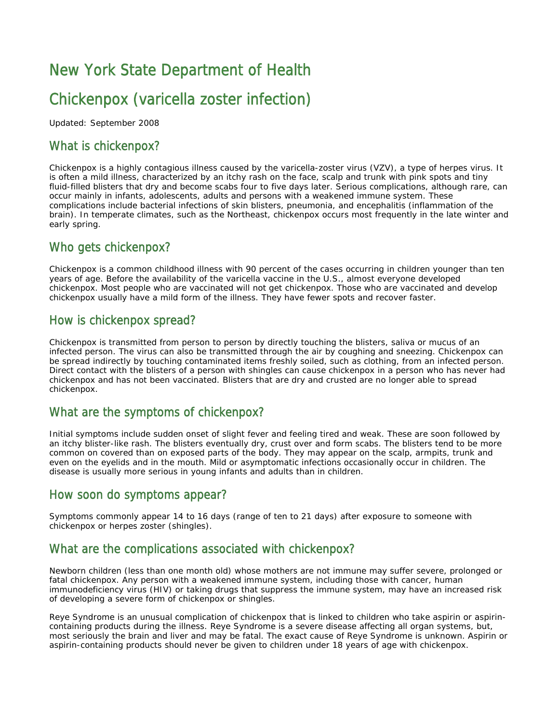# New York State Department of Health

## Chickenpox (varicella zoster infection)

Updated: September 2008

## What is chickenpox?

Chickenpox is a highly contagious illness caused by the varicella-zoster virus (VZV), a type of herpes virus. It is often a mild illness, characterized by an itchy rash on the face, scalp and trunk with pink spots and tiny fluid-filled blisters that dry and become scabs four to five days later. Serious complications, although rare, can occur mainly in infants, adolescents, adults and persons with a weakened immune system. These complications include bacterial infections of skin blisters, pneumonia, and encephalitis (inflammation of the brain). In temperate climates, such as the Northeast, chickenpox occurs most frequently in the late winter and early spring.

#### Who gets chickenpox?

Chickenpox is a common childhood illness with 90 percent of the cases occurring in children younger than ten years of age. Before the availability of the varicella vaccine in the U.S., almost everyone developed chickenpox. Most people who are vaccinated will not get chickenpox. Those who are vaccinated and develop chickenpox usually have a mild form of the illness. They have fewer spots and recover faster.

#### How is chickenpox spread?

Chickenpox is transmitted from person to person by directly touching the blisters, saliva or mucus of an infected person. The virus can also be transmitted through the air by coughing and sneezing. Chickenpox can be spread indirectly by touching contaminated items freshly soiled, such as clothing, from an infected person. Direct contact with the blisters of a person with shingles can cause chickenpox in a person who has never had chickenpox and has not been vaccinated. Blisters that are dry and crusted are no longer able to spread chickenpox.

#### What are the symptoms of chickenpox?

Initial symptoms include sudden onset of slight fever and feeling tired and weak. These are soon followed by an itchy blister-like rash. The blisters eventually dry, crust over and form scabs. The blisters tend to be more common on covered than on exposed parts of the body. They may appear on the scalp, armpits, trunk and even on the eyelids and in the mouth. Mild or asymptomatic infections occasionally occur in children. The disease is usually more serious in young infants and adults than in children.

#### How soon do symptoms appear?

Symptoms commonly appear 14 to 16 days (range of ten to 21 days) after exposure to someone with chickenpox or herpes zoster (shingles).

#### What are the complications associated with chickenpox?

Newborn children (less than one month old) whose mothers are not immune may suffer severe, prolonged or fatal chickenpox. Any person with a weakened immune system, including those with cancer, human immunodeficiency virus (HIV) or taking drugs that suppress the immune system, may have an increased risk of developing a severe form of chickenpox or shingles.

 containing products during the illness. Reye Syndrome is a severe disease affecting all organ systems, but, Reye Syndrome is an unusual complication of chickenpox that is linked to children who take aspirin or aspirinmost seriously the brain and liver and may be fatal. The exact cause of Reye Syndrome is unknown. Aspirin or aspirin-containing products should never be given to children under 18 years of age with chickenpox.